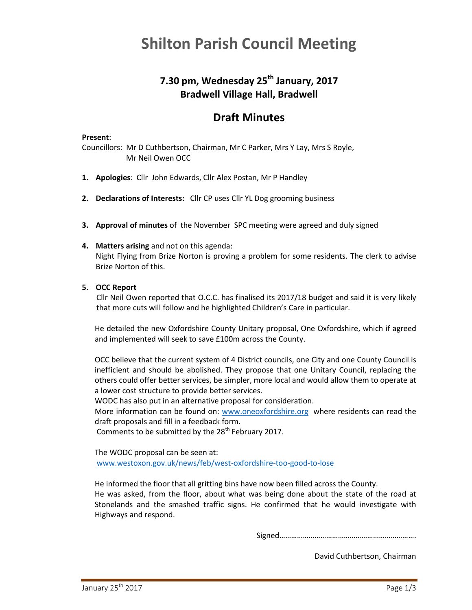# **Shilton Parish Council Meeting**

# **7.30 pm, Wednesday 25th January, 2017 Bradwell Village Hall, Bradwell**

# **Draft Minutes**

#### **Present**:

Councillors: Mr D Cuthbertson, Chairman, Mr C Parker, Mrs Y Lay, Mrs S Royle, Mr Neil Owen OCC

- **1. Apologies**: Cllr John Edwards, Cllr Alex Postan, Mr P Handley
- **2. Declarations of Interests:** Cllr CP uses Cllr YL Dog grooming business
- **3. Approval of minutes** of the November SPC meeting were agreed and duly signed
- **4. Matters arising** and not on this agenda: Night Flying from Brize Norton is proving a problem for some residents. The clerk to advise Brize Norton of this.
- **5. OCC Report**

Cllr Neil Owen reported that O.C.C. has finalised its 2017/18 budget and said it is very likely that more cuts will follow and he highlighted Children's Care in particular.

He detailed the new Oxfordshire County Unitary proposal, One Oxfordshire, which if agreed and implemented will seek to save £100m across the County.

OCC believe that the current system of 4 District councils, one City and one County Council is inefficient and should be abolished. They propose that one Unitary Council, replacing the others could offer better services, be simpler, more local and would allow them to operate at a lower cost structure to provide better services.

WODC has also put in an alternative proposal for consideration.

More information can be found on: [www.oneoxfordshire.org](http://www.oneoxfordshire.org/) where residents can read the draft proposals and fill in a feedback form.

Comments to be submitted by the 28<sup>th</sup> February 2017.

The WODC proposal can be seen at: [www.westoxon.gov.uk/news/feb/west-oxfordshire-too-good-to-lose](http://www.westoxon.gov.uk/news/feb/west-oxfordshire-too-good-to-lose)

He informed the floor that all gritting bins have now been filled across the County.

He was asked, from the floor, about what was being done about the state of the road at Stonelands and the smashed traffic signs. He confirmed that he would investigate with Highways and respond.

Signed…………………………………………………………….

David Cuthbertson, Chairman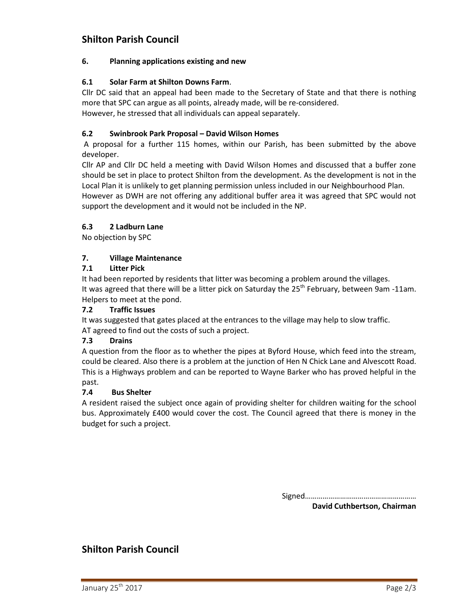## **Shilton Parish Council**

### **6. Planning applications existing and new**

### **6.1 Solar Farm at Shilton Downs Farm**.

Cllr DC said that an appeal had been made to the Secretary of State and that there is nothing more that SPC can argue as all points, already made, will be re-considered.

However, he stressed that all individuals can appeal separately.

## **6.2 Swinbrook Park Proposal – David Wilson Homes**

A proposal for a further 115 homes, within our Parish, has been submitted by the above developer.

Cllr AP and Cllr DC held a meeting with David Wilson Homes and discussed that a buffer zone should be set in place to protect Shilton from the development. As the development is not in the Local Plan it is unlikely to get planning permission unless included in our Neighbourhood Plan.

However as DWH are not offering any additional buffer area it was agreed that SPC would not support the development and it would not be included in the NP.

## **6.3 2 Ladburn Lane**

No objection by SPC

#### **7. Village Maintenance**

## **7.1 Litter Pick**

It had been reported by residents that litter was becoming a problem around the villages. It was agreed that there will be a litter pick on Saturday the 25<sup>th</sup> February, between 9am -11am. Helpers to meet at the pond.

#### **7.2 Traffic Issues**

It was suggested that gates placed at the entrances to the village may help to slow traffic. AT agreed to find out the costs of such a project.

#### **7.3 Drains**

A question from the floor as to whether the pipes at Byford House, which feed into the stream, could be cleared. Also there is a problem at the junction of Hen N Chick Lane and Alvescott Road. This is a Highways problem and can be reported to Wayne Barker who has proved helpful in the past.

#### **7.4 Bus Shelter**

A resident raised the subject once again of providing shelter for children waiting for the school bus. Approximately £400 would cover the cost. The Council agreed that there is money in the budget for such a project.

> Signed………………………………………………… **David Cuthbertson, Chairman**

# **Shilton Parish Council**